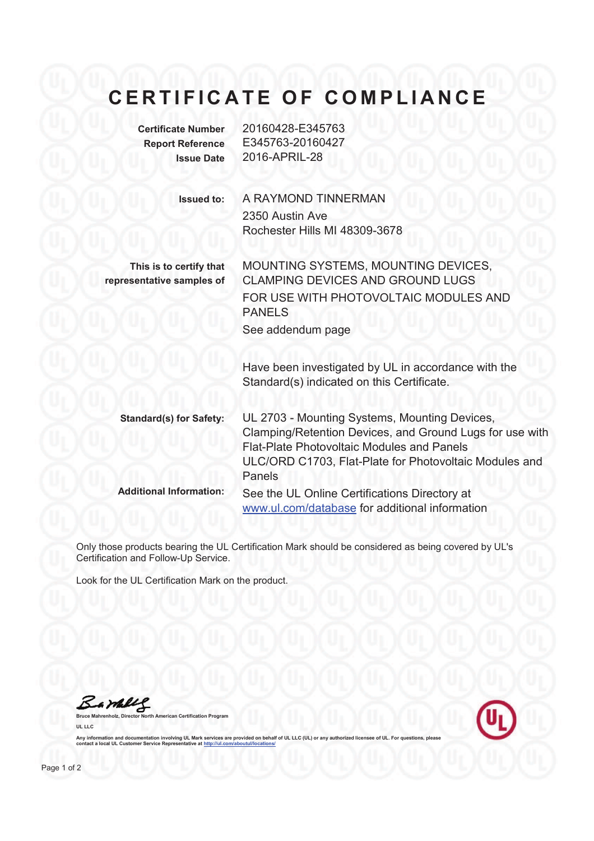## **CERTIFICATE OF COMPLIANCE**

**Certificate Number** 20160428-E345763

| <b>Report Reference</b><br><b>Issue Date</b>         | E345763-20160427<br>2016-APRIL-28                                                                         |
|------------------------------------------------------|-----------------------------------------------------------------------------------------------------------|
| <b>Issued to:</b>                                    | A RAYMOND TINNERMAN                                                                                       |
|                                                      | 2350 Austin Ave                                                                                           |
|                                                      | Rochester Hills MI 48309-3678                                                                             |
| This is to certify that<br>representative samples of | MOUNTING SYSTEMS, MOUNTING DEVICES,<br><b>CLAMPING DEVICES AND GROUND LUGS</b>                            |
|                                                      | FOR USE WITH PHOTOVOLTAIC MODULES AND<br><b>PANELS</b>                                                    |
|                                                      | See addendum page                                                                                         |
|                                                      | Have been investigated by UL in accordance with the<br>Standard(s) indicated on this Certificate.         |
| <b>Standard(s) for Safety:</b>                       | UL 2703 - Mounting Systems, Mounting Devices,<br>Clamping/Retention Devices, and Ground Lugs for use with |
|                                                      | <b>Flat-Plate Photovoltaic Modules and Panels</b>                                                         |
|                                                      | ULC/ORD C1703, Flat-Plate for Photovoltaic Modules and<br>Panels                                          |
| <b>Additional Information:</b>                       | See the UL Online Certifications Directory at                                                             |
|                                                      | www.ul.com/database for additional information                                                            |

Only those products bearing the UL Certification Mark should be considered as being covered by UL's Certification and Follow-Up Service.

Look for the UL Certification Mark on the product.

Barkey **Bruce Mahrenholz, Director North American Certification Program** 

Any information and documentation involving UL Mark services are provided on behalf of UL LLC (UL) or any authorized licensee of UL. For questions, please<br>contact a local UL Customer Service Representative at <u>http://ul.co</u>

**UL LLC**